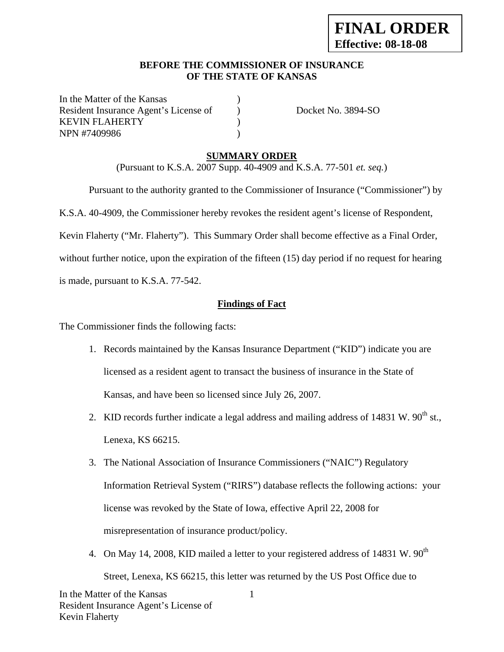## **BEFORE THE COMMISSIONER OF INSURANCE OF THE STATE OF KANSAS**

In the Matter of the Kansas Resident Insurance Agent's License of Docket No. 3894-SO KEVIN FLAHERTY (1997) NPN #7409986 (a)

## **SUMMARY ORDER**

(Pursuant to K.S.A. 2007 Supp. 40-4909 and K.S.A. 77-501 *et. seq.*)

Pursuant to the authority granted to the Commissioner of Insurance ("Commissioner") by

K.S.A. 40-4909, the Commissioner hereby revokes the resident agent's license of Respondent,

Kevin Flaherty ("Mr. Flaherty"). This Summary Order shall become effective as a Final Order,

without further notice, upon the expiration of the fifteen (15) day period if no request for hearing is made, pursuant to K.S.A. 77-542.

## **Findings of Fact**

The Commissioner finds the following facts:

- 1. Records maintained by the Kansas Insurance Department ("KID") indicate you are licensed as a resident agent to transact the business of insurance in the State of Kansas, and have been so licensed since July 26, 2007.
- 2. KID records further indicate a legal address and mailing address of 14831 W.  $90^{th}$  st., Lenexa, KS 66215.
- 3. The National Association of Insurance Commissioners ("NAIC") Regulatory Information Retrieval System ("RIRS") database reflects the following actions: your license was revoked by the State of Iowa, effective April 22, 2008 for misrepresentation of insurance product/policy.
- 1 4. On May 14, 2008, KID mailed a letter to your registered address of 14831 W.  $90<sup>th</sup>$ Street, Lenexa, KS 66215, this letter was returned by the US Post Office due to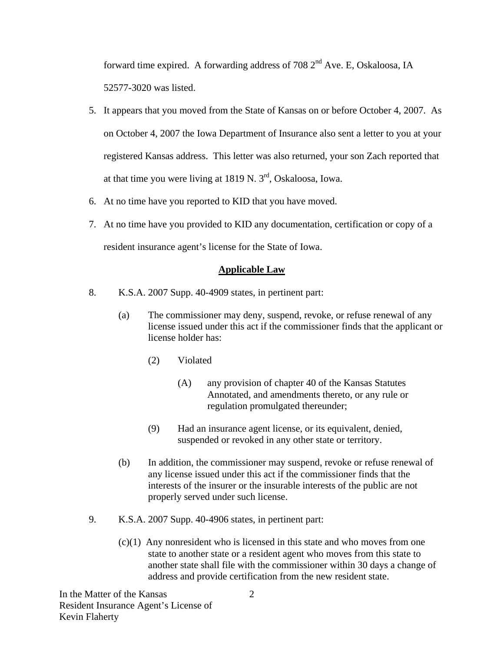forward time expired. A forwarding address of 708 2<sup>nd</sup> Ave. E, Oskaloosa, IA 52577-3020 was listed.

- 5. It appears that you moved from the State of Kansas on or before October 4, 2007. As on October 4, 2007 the Iowa Department of Insurance also sent a letter to you at your registered Kansas address. This letter was also returned, your son Zach reported that at that time you were living at  $1819$  N.  $3<sup>rd</sup>$ , Oskaloosa, Iowa.
- 6. At no time have you reported to KID that you have moved.
- 7. At no time have you provided to KID any documentation, certification or copy of a resident insurance agent's license for the State of Iowa.

## **Applicable Law**

- 8. K.S.A. 2007 Supp. 40-4909 states, in pertinent part:
	- (a) The commissioner may deny, suspend, revoke, or refuse renewal of any license issued under this act if the commissioner finds that the applicant or license holder has:
		- (2) Violated
			- (A) any provision of chapter 40 of the Kansas Statutes Annotated, and amendments thereto, or any rule or regulation promulgated thereunder;
		- (9) Had an insurance agent license, or its equivalent, denied, suspended or revoked in any other state or territory.
	- (b) In addition, the commissioner may suspend, revoke or refuse renewal of any license issued under this act if the commissioner finds that the interests of the insurer or the insurable interests of the public are not properly served under such license.
- 9. K.S.A. 2007 Supp. 40-4906 states, in pertinent part:
	- (c)(1) Any nonresident who is licensed in this state and who moves from one state to another state or a resident agent who moves from this state to another state shall file with the commissioner within 30 days a change of address and provide certification from the new resident state.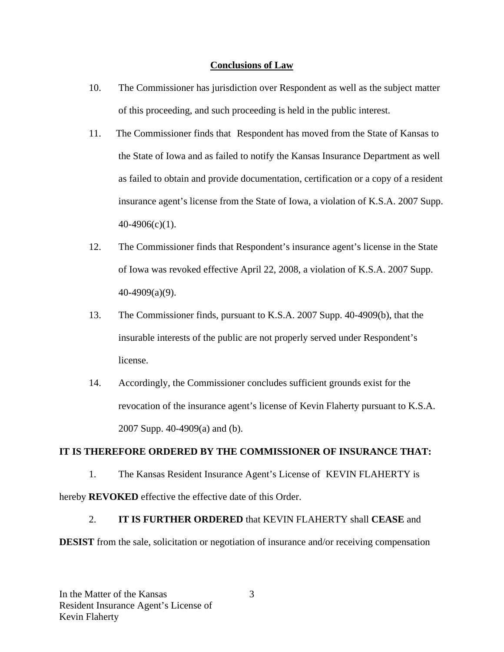## **Conclusions of Law**

- 10. The Commissioner has jurisdiction over Respondent as well as the subject matter of this proceeding, and such proceeding is held in the public interest.
- 11. The Commissioner finds that Respondent has moved from the State of Kansas to the State of Iowa and as failed to notify the Kansas Insurance Department as well as failed to obtain and provide documentation, certification or a copy of a resident insurance agent's license from the State of Iowa, a violation of K.S.A. 2007 Supp. 40-4906(c)(1).
- 12. The Commissioner finds that Respondent's insurance agent's license in the State of Iowa was revoked effective April 22, 2008, a violation of K.S.A. 2007 Supp. 40-4909(a)(9).
- 13. The Commissioner finds, pursuant to K.S.A. 2007 Supp. 40-4909(b), that the insurable interests of the public are not properly served under Respondent's license.
- 14. Accordingly, the Commissioner concludes sufficient grounds exist for the revocation of the insurance agent's license of Kevin Flaherty pursuant to K.S.A. 2007 Supp. 40-4909(a) and (b).

## **IT IS THEREFORE ORDERED BY THE COMMISSIONER OF INSURANCE THAT:**

1. The Kansas Resident Insurance Agent's License of KEVIN FLAHERTY is hereby **REVOKED** effective the effective date of this Order.

# 2. **IT IS FURTHER ORDERED** that KEVIN FLAHERTY shall **CEASE** and **DESIST** from the sale, solicitation or negotiation of insurance and/or receiving compensation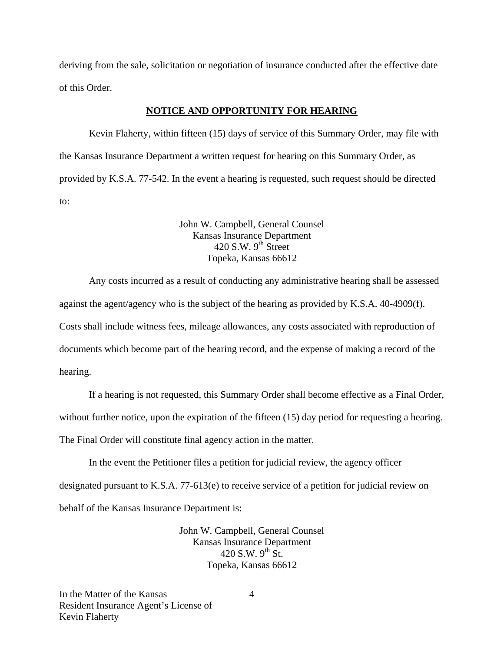deriving from the sale, solicitation or negotiation of insurance conducted after the effective date of this Order.

#### **NOTICE AND OPPORTUNITY FOR HEARING**

Kevin Flaherty, within fifteen (15) days of service of this Summary Order, may file with the Kansas Insurance Department a written request for hearing on this Summary Order, as provided by K.S.A. 77-542. In the event a hearing is requested, such request should be directed to:

#### John W. Campbell, General Counsel Kansas Insurance Department  $420$  S.W. 9<sup>th</sup> Street Topeka, Kansas 66612

Any costs incurred as a result of conducting any administrative hearing shall be assessed against the agent/agency who is the subject of the hearing as provided by K.S.A. 40-4909(f). Costs shall include witness fees, mileage allowances, any costs associated with reproduction of documents which become part of the hearing record, and the expense of making a record of the hearing.

If a hearing is not requested, this Summary Order shall become effective as a Final Order,

without further notice, upon the expiration of the fifteen (15) day period for requesting a hearing.

The Final Order will constitute final agency action in the matter.

In the event the Petitioner files a petition for judicial review, the agency officer designated pursuant to K.S.A. 77-613(e) to receive service of a petition for judicial review on behalf of the Kansas Insurance Department is:

> John W. Campbell, General Counsel Kansas Insurance Department 420 S.W.  $9^{th}$  St. Topeka, Kansas 66612

In the Matter of the Kansas Resident Insurance Agent's License of Kevin Flaherty

4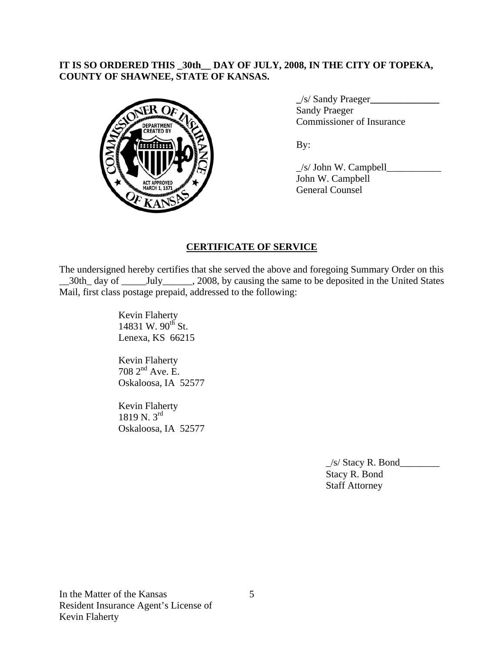## **IT IS SO ORDERED THIS \_30th\_\_ DAY OF JULY, 2008, IN THE CITY OF TOPEKA, COUNTY OF SHAWNEE, STATE OF KANSAS.**



 **\_**/s/ Sandy Praeger**\_\_\_\_\_\_\_\_\_\_\_\_\_\_ Sandy Praeger** Commissioner of Insurance

 $\frac{1}{s}$  John W. Campbell John W. Campbell General Counsel

## **CERTIFICATE OF SERVICE**

The undersigned hereby certifies that she served the above and foregoing Summary Order on this \_30th\_ day of \_\_\_\_\_\_\_\_\_\_\_\_, 2008, by causing the same to be deposited in the United States Mail, first class postage prepaid, addressed to the following:

> Kevin Flaherty 14831 W.  $90^{th}$  St. Lenexa, KS 66215

 Kevin Flaherty  $7082^{\text{nd}}$  Ave. E. Oskaloosa, IA 52577

 Kevin Flaherty 1819 N.  $3^{\text{rd}}$ Oskaloosa, IA 52577

> $\angle$ s/ Stacy R. Bond $\angle$  Stacy R. Bond Staff Attorney